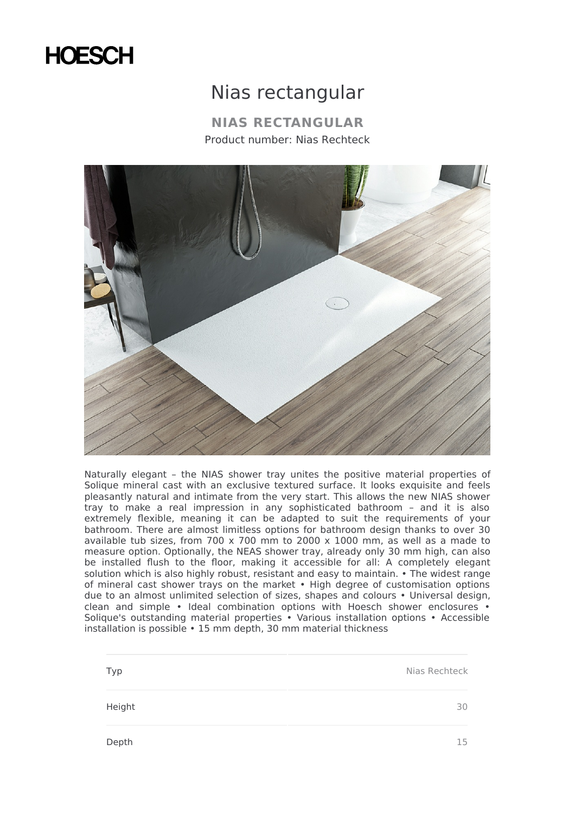## **HOESCH**

## Nias rectangular

**NIAS RECTANGULAR** Product number: Nias Rechteck



Naturally elegant – the NIAS shower tray unites the positive material properties of Solique mineral cast with an exclusive textured surface. It looks exquisite and feels pleasantly natural and intimate from the very start. This allows the new NIAS shower tray to make a real impression in any sophisticated bathroom – and it is also extremely flexible, meaning it can be adapted to suit the requirements of your bathroom. There are almost limitless options for bathroom design thanks to over 30 available tub sizes, from 700 x 700 mm to 2000 x 1000 mm, as well as a made to measure option. Optionally, the NEAS shower tray, already only 30 mm high, can also be installed flush to the floor, making it accessible for all: A completely elegant solution which is also highly robust, resistant and easy to maintain. • The widest range of mineral cast shower trays on the market • High degree of customisation options due to an almost unlimited selection of sizes, shapes and colours • Universal design, clean and simple • Ideal combination options with Hoesch shower enclosures • Solique's outstanding material properties • Various installation options • Accessible installation is possible • 15 mm depth, 30 mm material thickness

Typ Nias Rechteck Height 30 Depth 15